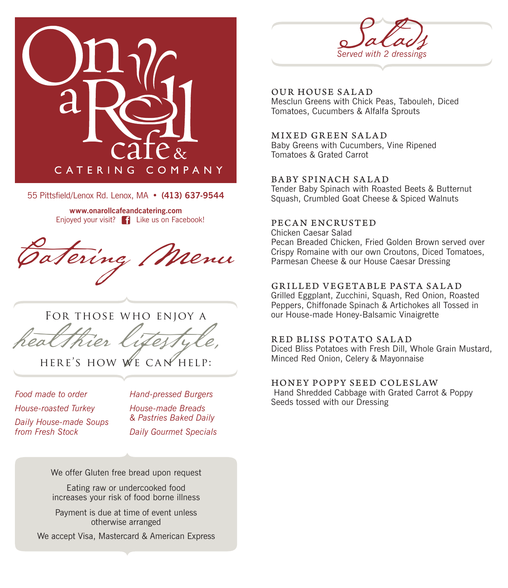

55 Pittsfield/Lenox Rd. Lenox, MA • (413) 637-9544

**www.onarollcafeandcatering.com** Enjoyed your visit? Like us on Facebook!

tering / Menu



HERE'S HOW WE CAN HELP:

*Food made to order House-roasted Turkey Daily House-made Soups from Fresh Stock*

*Hand-pressed Burgers*

*House-made Breads & Pastries Baked Daily Daily Gourmet Specials*

We offer Gluten free bread upon request

Eating raw or undercooked food increases your risk of food borne illness

Payment is due at time of event unless otherwise arranged

We accept Visa, Mastercard & American Express



OUR HOUSE SALAD Mesclun Greens with Chick Peas, Tabouleh, Diced Tomatoes, Cucumbers & Alfalfa Sprouts

#### MIXED GREEN SALAD

Baby Greens with Cucumbers, Vine Ripened Tomatoes & Grated Carrot

#### BABY SPINACH SALAD

Tender Baby Spinach with Roasted Beets & Butternut Squash, Crumbled Goat Cheese & Spiced Walnuts

#### PECAN ENCRUSTED

Chicken Caesar Salad Pecan Breaded Chicken, Fried Golden Brown served over Crispy Romaine with our own Croutons, Diced Tomatoes, Parmesan Cheese & our House Caesar Dressing

#### GR ILLED VEGETA BLE PASTA SA LA D

Grilled Eggplant, Zucchini, Squash, Red Onion, Roasted Peppers, Chiffonade Spinach & Artichokes all Tossed in our House-made Honey-Balsamic Vinaigrette

#### RED BLISS POTATO SALAD

Diced Bliss Potatoes with Fresh Dill, Whole Grain Mustard, Minced Red Onion, Celery & Mayonnaise

#### HONEY POPPY SEED COLESLAW

 Hand Shredded Cabbage with Grated Carrot & Poppy Seeds tossed with our Dressing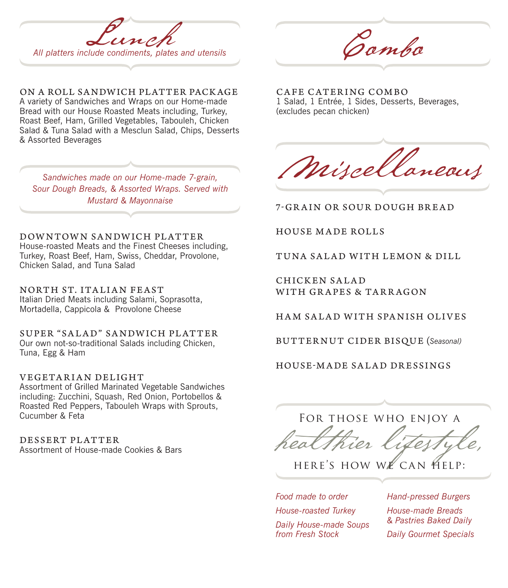

ON A ROLL SA NDW ICH PLATTER PACK AGE A variety of Sandwiches and Wraps on our Home-made Bread with our House Roasted Meats including, Turkey, Roast Beef, Ham, Grilled Vegetables, Tabouleh, Chicken Salad & Tuna Salad with a Mesclun Salad, Chips, Desserts & Assorted Beverages

*Sandwiches made on our Home-made 7-grain, Sour Dough Breads, & Assorted Wraps. Served with Mustard & Mayonnaise*

DOWNTOWN SANDWICH PLATTER House-roasted Meats and the Finest Cheeses including,

Turkey, Roast Beef, Ham, Swiss, Cheddar, Provolone, Chicken Salad, and Tuna Salad

NORTH ST. ITA LI A N FEAST Italian Dried Meats including Salami, Soprasotta, Mortadella, Cappicola & Provolone Cheese

SUPER "SALAD" SANDWICH PLATTER Our own not-so-traditional Salads including Chicken, Tuna, Egg & Ham

VEGETARIAN DELIGHT

Assortment of Grilled Marinated Vegetable Sandwiches including: Zucchini, Squash, Red Onion, Portobellos & Roasted Red Peppers, Tabouleh Wraps with Sprouts, Cucumber & Feta

DESSERT PLATTER Assortment of House-made Cookies & Bars

CAFE CATERING COMBO 1 Salad, 1 Entrée, 1 Sides, Desserts, Beverages, (excludes pecan chicken)

Miscellaneous

7-GRAIN OR SOUR DOUGH BREAD

HOUSE MADE ROLLS

TUNA SALAD WITH LEMON & DILL

CHICKEN SALAD WITH GRAPES & TARRAGON

HAM SALAD WITH SPANISH OLIVES

BU T T ER N U T CI DER BISQU E (*Seasonal)*

HOUSE-MADE SALAD DRESSINGS

For those who enjoy a

HERE'S HOW WE CAN HELP:

*Food made to order House-roasted Turkey Daily House-made Soups* 

*from Fresh Stock*

*Hand-pressed Burgers House-made Breads & Pastries Baked Daily Daily Gourmet Specials*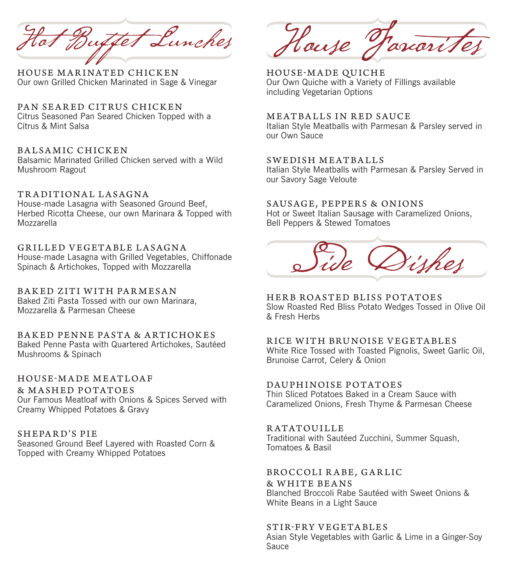Hot Buffet Lunches

HOUSE MARINATED CHICKEN Our own Grilled Chicken Marinated in Sage & Vinegar

PAN SEARED CITRUS CHICKEN Citrus Seasoned Pan Seared Chicken Topped with a Citrus & Mint Salsa

#### BALSAMIC CHICKEN Balsamic Marinated Grilled Chicken served with a Wild Mushroom Ragout

TRADITIONAL LASAGNA House-made Lasagna with Seasoned Ground Beef, Herbed Ricotta Cheese, our own Marinara & Topped with Mozzarella

GRILLED VEGETABLE LASAGNA House-made Lasagna with Grilled Vegetables, Chiffonade Spinach & Artichokes, Topped with Mozzarella

BA K ED ZITI W ITH PA R MESA N Baked Ziti Pasta Tossed with our own Marinara, Mozzarella & Parmesan Cheese

BAKED PENNE PASTA & ARTICHOKES Baked Penne Pasta with Quartered Artichokes, Sautéed Mushrooms & Spinach

HOUSE-MADE MEATLOAF & MASHED POTATOES Our Famous Meatloaf with Onions & Spices Served with Creamy Whipped Potatoes & Gravy

SHEPA R D'S PIE Seasoned Ground Beef Layered with Roasted Corn & Topped with Creamy Whipped Potatoes

House Farcoris

HOUSE-MADE QUICHE Our Own Quiche with a Variety of Fillings available including Vegetarian Options

#### MEATBALLS IN RED SAUCE

Italian Style Meatballs with Parmesan & Parsley served in our Own Sauce

#### SWEDISH MEATBALLS

Italian Style Meatballs with Parmesan & Parsley Served in our Savory Sage Veloute

#### SAUSAGE, PEPPERS & ONIONS

Hot or Sweet Italian Sausage with Caramelized Onions, Bell Peppers & Stewed Tomatoes

# Side Dishes

HERB ROASTED BLISS POTATOES Slow Roasted Red Bliss Potato Wedges Tossed in Olive Oil & Fresh Herbs

RICE WITH BRUNOISE VEGETABLES White Rice Tossed with Toasted Pignolis, Sweet Garlic Oil, Brunoise Carrot, Celery & Onion

#### DAUPHINOISE POTATOES

Thin Sliced Potatoes Baked in a Cream Sauce with Caramelized Onions, Fresh Thyme & Parmesan Cheese

#### **RATATOUILLE**

Traditional with Sautéed Zucchini, Summer Squash, Tomatoes & Basil

#### BROCCOLI RABE, GARLIC

& WHITE BEANS

Blanched Broccoli Rabe Sautéed with Sweet Onions & White Beans in a Light Sauce

#### STIR-FRY VEGETABLES

Asian Style Vegetables with Garlic & Lime in a Ginger-Soy Sauce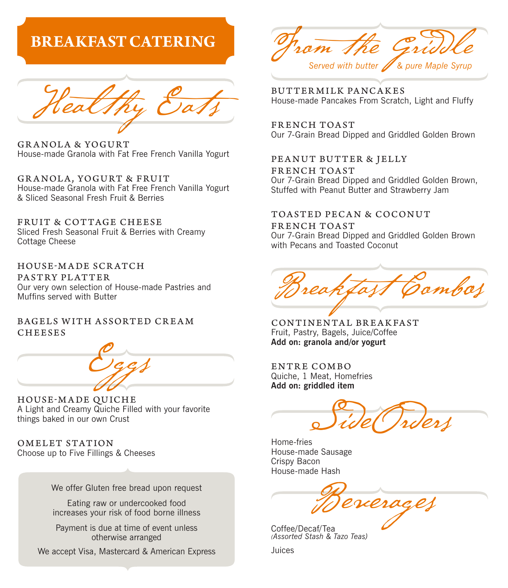## **BREAKFAST CATERING**



GRANOLA & YOGURT House-made Granola with Fat Free French Vanilla Yogurt

GR ANOLA, YOGURT & FRUIT House-made Granola with Fat Free French Vanilla Yogurt & Sliced Seasonal Fresh Fruit & Berries  $\overline{f}$ GRANOLA, YOGURT & FRUIT

FRUIT & COTTAGE CHEESE FROIT & COTTAGE CHEESE<br>Sliced Fresh Seasonal Fruit & Berries with Creamy Cottage Cheese  $\overline{S}$ Silceu Fresh Seasonal Fruit & Bernes With Greamy

HOUSE-M A DE SCR ATCH PASTRY PLATTER Our very own selection of House-made Pastries and Muffins served with Butter 'ASTRY PLATTER<br>\ur very own selection of House-made Pastries and<br>1uffins served with Butter

#### BAGELS WITH ASSORTED CREAM CHEESES



HOUSE-MADE QUICHE A Light and Creamy Quiche Filled with your favorite<br>things baked in our own Crust<br>OMELET STATION things baked in our own Crust

OMELET STATION Choose up to Five Fillings & Cheeses

House-made Hash

We offer Gluten free bread upon request

Eating raw or undercooked food increases your risk of food borne illness e offer Gluten free bread upon re<br>Eating raw or undercooked foo<br>creases your risk of food borne il

**Payment is due at time of event unless** otherwise arranged *(Assorted Stash & Tazo Teas)*

We accept Visa, Mastercard & American Express

 $\mathbf{\Omega} \mathbf{\mathit{m}}$ Served with butter **//** & pure Maple Syrup

House-made Pancakes From Scratch, Light and Fluffy<br>House-made Pancakes From Scratch, Light and Fluffy<br>FRENCH TOAST BUTTER MILK PA NCA K ES

FRENCH TOAST Our 7-Grain Bread Dipped and Griddled Golden Brown

PE A N U T BU T T E R & J E L L Y Our 7-Grain Bread Dipped and Griddled Golden Brown, Stuffed with Peanut Butter and Strawberry Jam FRENCH TOAST

#### TOASTED PECAN & COCONUT

FRENCH TOAST n RESR SIT TIGHT<br>Our 7-Grain Bread Dipped and Griddled Golden Brown out 7 Gram Broad Bippod and Gram

HOUSE-M A DE SCR ATCH  $\infty$  /-Dopped all Opped Muffi ns served with Butter Breakfast Combos

CONTINENTAL BREAKFAST Fruit, Pastry, Bagels, Juice/Coffee **Add on: granola and/or yogurt**

ENTRE COMBO<br>Quiche, 1 Meat, Homefries<br>Add on: griddled item ENTRE COMBO **Add on: griddled item**

 $\theta$  $\left( \begin{array}{ccc} \mu & \lambda & \lambda \\ \end{array} \right)$  $\frac{1}{\sqrt{2}}$ Side Orders

Home-fries<br>... House-made Sausage Home-fries Crispy Bacon House-made Hash

 $\omega$ Mercerac*e*t  $\sqrt{a}$ Beverages

Coffee/Decaf/Tea **Due at the contract under** *(Assorted Stash & Tazo Teas)* 

 $S$ Juices